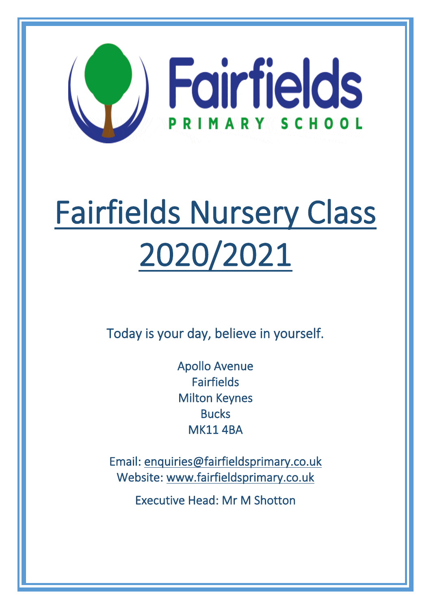

# Fairfields Nursery Class 2020/2021

Today is your day, believe in yourself.

Apollo Avenue Fairfields Milton Keynes **Bucks** MK11 4BA

Email: [enquiries@fairfieldsprimary.co.uk](mailto:enquiries@fairfieldsprimary.co.uk)  Website: [www.fairfieldsprimary.co.uk](http://www.fairfieldsprimary.co.uk/) 

Executive Head: Mr M Shotton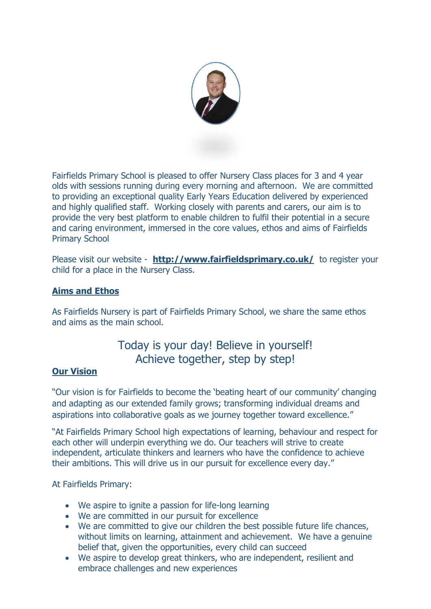

Fairfields Primary School is pleased to offer Nursery Class places for 3 and 4 year olds with sessions running during every morning and afternoon. We are committed to providing an exceptional quality Early Years Education delivered by experienced and highly qualified staff. Working closely with parents and carers, our aim is to provide the very best platform to enable children to fulfil their potential in a secure and caring environment, immersed in the core values, ethos and aims of Fairfields Primary School

Please visit our website - **<http://www.fairfieldsprimary.co.uk/>** to register your child for a place in the Nursery Class.

# **Aims and Ethos**

As Fairfields Nursery is part of Fairfields Primary School, we share the same ethos and aims as the main school.

# Today is your day! Believe in yourself! Achieve together, step by step!

# **Our Vision**

"Our vision is for Fairfields to become the 'beating heart of our community' changing and adapting as our extended family grows; transforming individual dreams and aspirations into collaborative goals as we journey together toward excellence."

"At Fairfields Primary School high expectations of learning, behaviour and respect for each other will underpin everything we do. Our teachers will strive to create independent, articulate thinkers and learners who have the confidence to achieve their ambitions. This will drive us in our pursuit for excellence every day."

# At Fairfields Primary:

- We aspire to janite a passion for life-long learning
- We are committed in our pursuit for excellence
- We are committed to give our children the best possible future life chances, without limits on learning, attainment and achievement. We have a genuine belief that, given the opportunities, every child can succeed
- We aspire to develop great thinkers, who are independent, resilient and embrace challenges and new experiences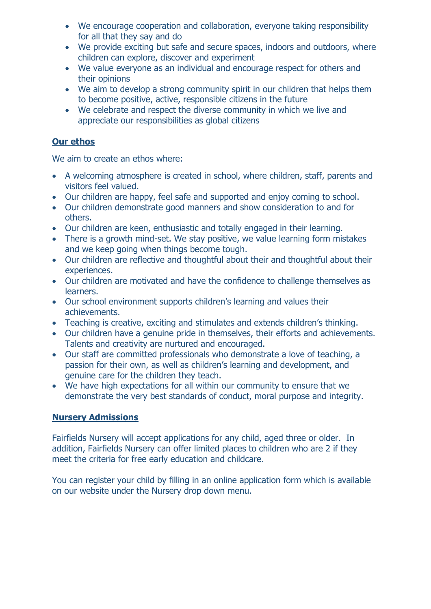- We encourage cooperation and collaboration, everyone taking responsibility for all that they say and do
- We provide exciting but safe and secure spaces, indoors and outdoors, where children can explore, discover and experiment
- We value everyone as an individual and encourage respect for others and their opinions
- We aim to develop a strong community spirit in our children that helps them to become positive, active, responsible citizens in the future
- We celebrate and respect the diverse community in which we live and appreciate our responsibilities as global citizens

# **Our ethos**

We aim to create an ethos where:

- A welcoming atmosphere is created in school, where children, staff, parents and visitors feel valued.
- Our children are happy, feel safe and supported and enjoy coming to school.
- Our children demonstrate good manners and show consideration to and for others.
- Our children are keen, enthusiastic and totally engaged in their learning.
- There is a growth mind-set. We stay positive, we value learning form mistakes and we keep going when things become tough.
- Our children are reflective and thoughtful about their and thoughtful about their experiences.
- Our children are motivated and have the confidence to challenge themselves as learners.
- Our school environment supports children's learning and values their achievements.
- Teaching is creative, exciting and stimulates and extends children's thinking.
- Our children have a genuine pride in themselves, their efforts and achievements. Talents and creativity are nurtured and encouraged.
- Our staff are committed professionals who demonstrate a love of teaching, a passion for their own, as well as children's learning and development, and genuine care for the children they teach.
- We have high expectations for all within our community to ensure that we demonstrate the very best standards of conduct, moral purpose and integrity.

# **Nursery Admissions**

Fairfields Nursery will accept applications for any child, aged three or older. In addition, Fairfields Nursery can offer limited places to children who are 2 if they meet the criteria for free early education and childcare.

You can register your child by filling in an online application form which is available on our website under the Nursery drop down menu.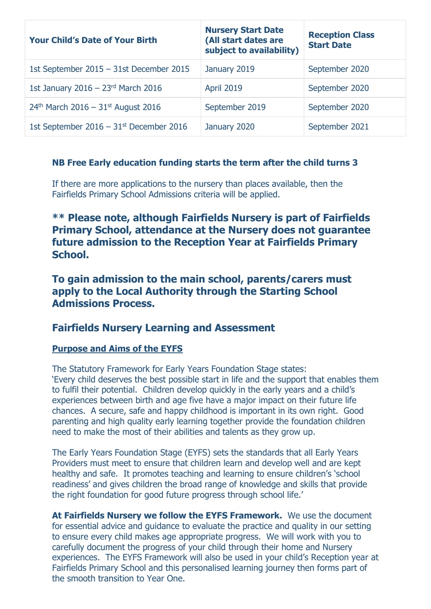| <b>Your Child's Date of Your Birth</b>           | <b>Nursery Start Date</b><br>(All start dates are<br>subject to availability) | <b>Reception Class</b><br><b>Start Date</b> |
|--------------------------------------------------|-------------------------------------------------------------------------------|---------------------------------------------|
| 1st September 2015 - 31st December 2015          | January 2019                                                                  | September 2020                              |
| 1st January 2016 - 23rd March 2016               | <b>April 2019</b>                                                             | September 2020                              |
| $24th$ March 2016 - 31 <sup>st</sup> August 2016 | September 2019                                                                | September 2020                              |
| 1st September 2016 - $31st$ December 2016        | January 2020                                                                  | September 2021                              |

# **NB Free Early education funding starts the term after the child turns 3**

If there are more applications to the nursery than places available, then the Fairfields Primary School Admissions criteria will be applied.

**\*\* Please note, although Fairfields Nursery is part of Fairfields Primary School, attendance at the Nursery does not guarantee future admission to the Reception Year at Fairfields Primary School.** 

**To gain admission to the main school, parents/carers must apply to the Local Authority through the Starting School Admissions Process.** 

# **Fairfields Nursery Learning and Assessment**

# **Purpose and Aims of the EYFS**

The Statutory Framework for Early Years Foundation Stage states: 'Every child deserves the best possible start in life and the support that enables them to fulfil their potential. Children develop quickly in the early years and a child's experiences between birth and age five have a major impact on their future life chances. A secure, safe and happy childhood is important in its own right. Good parenting and high quality early learning together provide the foundation children need to make the most of their abilities and talents as they grow up.

The Early Years Foundation Stage (EYFS) sets the standards that all Early Years Providers must meet to ensure that children learn and develop well and are kept healthy and safe. It promotes teaching and learning to ensure children's 'school readiness' and gives children the broad range of knowledge and skills that provide the right foundation for good future progress through school life.'

**At Fairfields Nursery we follow the EYFS Framework.** We use the document for essential advice and guidance to evaluate the practice and quality in our setting to ensure every child makes age appropriate progress. We will work with you to carefully document the progress of your child through their home and Nursery experiences. The EYFS Framework will also be used in your child's Reception year at Fairfields Primary School and this personalised learning journey then forms part of the smooth transition to Year One.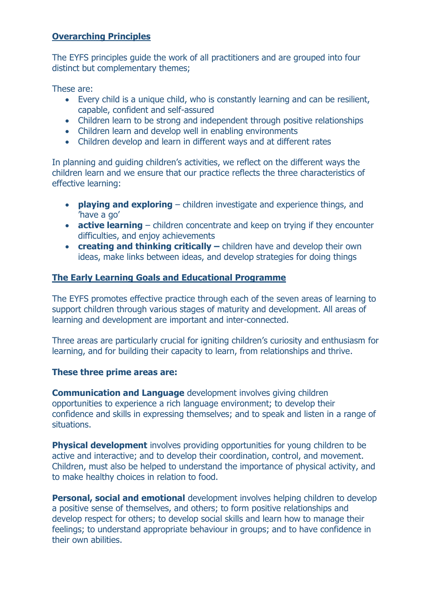# **Overarching Principles**

The EYFS principles guide the work of all practitioners and are grouped into four distinct but complementary themes;

These are:

- Every child is a unique child, who is constantly learning and can be resilient, capable, confident and self-assured
- Children learn to be strong and independent through positive relationships
- Children learn and develop well in enabling environments
- Children develop and learn in different ways and at different rates

In planning and guiding children's activities, we reflect on the different ways the children learn and we ensure that our practice reflects the three characteristics of effective learning:

- **playing and exploring** children investigate and experience things, and 'have a go'
- **active learning** children concentrate and keep on trying if they encounter difficulties, and enjoy achievements
- **creating and thinking critically –** children have and develop their own ideas, make links between ideas, and develop strategies for doing things

# **The Early Learning Goals and Educational Programme**

The EYFS promotes effective practice through each of the seven areas of learning to support children through various stages of maturity and development. All areas of learning and development are important and inter-connected.

Three areas are particularly crucial for igniting children's curiosity and enthusiasm for learning, and for building their capacity to learn, from relationships and thrive.

# **These three prime areas are:**

**Communication and Language** development involves giving children opportunities to experience a rich language environment; to develop their confidence and skills in expressing themselves; and to speak and listen in a range of situations.

**Physical development** involves providing opportunities for young children to be active and interactive; and to develop their coordination, control, and movement. Children, must also be helped to understand the importance of physical activity, and to make healthy choices in relation to food.

**Personal, social and emotional** development involves helping children to develop a positive sense of themselves, and others; to form positive relationships and develop respect for others; to develop social skills and learn how to manage their feelings; to understand appropriate behaviour in groups; and to have confidence in their own abilities.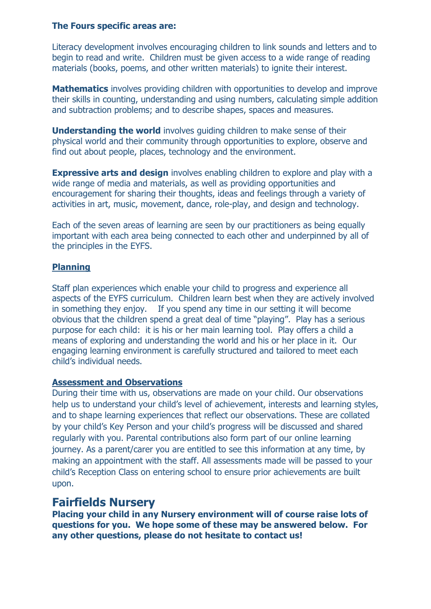# **The Fours specific areas are:**

Literacy development involves encouraging children to link sounds and letters and to begin to read and write. Children must be given access to a wide range of reading materials (books, poems, and other written materials) to ignite their interest.

**Mathematics** involves providing children with opportunities to develop and improve their skills in counting, understanding and using numbers, calculating simple addition and subtraction problems; and to describe shapes, spaces and measures.

**Understanding the world** involves quiding children to make sense of their physical world and their community through opportunities to explore, observe and find out about people, places, technology and the environment.

**Expressive arts and design** involves enabling children to explore and play with a wide range of media and materials, as well as providing opportunities and encouragement for sharing their thoughts, ideas and feelings through a variety of activities in art, music, movement, dance, role-play, and design and technology.

Each of the seven areas of learning are seen by our practitioners as being equally important with each area being connected to each other and underpinned by all of the principles in the EYFS.

# **Planning**

Staff plan experiences which enable your child to progress and experience all aspects of the EYFS curriculum. Children learn best when they are actively involved in something they enjoy. If you spend any time in our setting it will become obvious that the children spend a great deal of time "playing". Play has a serious purpose for each child: it is his or her main learning tool. Play offers a child a means of exploring and understanding the world and his or her place in it. Our engaging learning environment is carefully structured and tailored to meet each child's individual needs.

# **Assessment and Observations**

During their time with us, observations are made on your child. Our observations help us to understand your child's level of achievement, interests and learning styles, and to shape learning experiences that reflect our observations. These are collated by your child's Key Person and your child's progress will be discussed and shared regularly with you. Parental contributions also form part of our online learning journey. As a parent/carer you are entitled to see this information at any time, by making an appointment with the staff. All assessments made will be passed to your child's Reception Class on entering school to ensure prior achievements are built upon.

# **Fairfields Nursery**

**Placing your child in any Nursery environment will of course raise lots of questions for you. We hope some of these may be answered below. For any other questions, please do not hesitate to contact us!**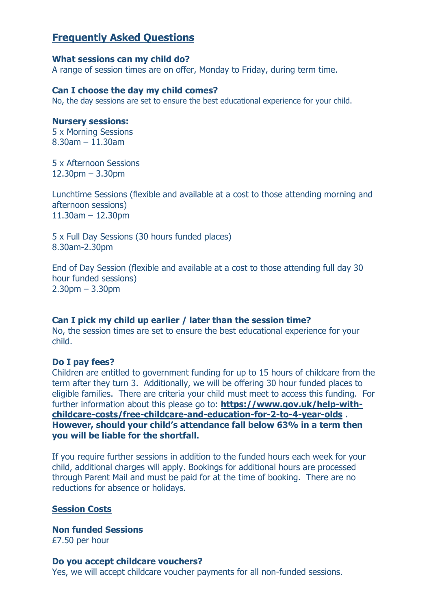# **Frequently Asked Questions**

#### **What sessions can my child do?**

A range of session times are on offer, Monday to Friday, during term time.

#### **Can I choose the day my child comes?**

No, the day sessions are set to ensure the best educational experience for your child.

#### **Nursery sessions:**

5 x Morning Sessions 8.30am – 11.30am

5 x Afternoon Sessions 12.30pm – 3.30pm

Lunchtime Sessions (flexible and available at a cost to those attending morning and afternoon sessions) 11.30am – 12.30pm

5 x Full Day Sessions (30 hours funded places) 8.30am-2.30pm

End of Day Session (flexible and available at a cost to those attending full day 30 hour funded sessions) 2.30pm – 3.30pm

# **Can I pick my child up earlier / later than the session time?**

No, the session times are set to ensure the best educational experience for your child.

# **Do I pay fees?**

Children are entitled to government funding for up to 15 hours of childcare from the term after they turn 3. Additionally, we will be offering 30 hour funded places to eligible families. There are criteria your child must meet to access this funding. For further information about this please go to: **[https://www.gov.uk/help-with](https://www.gov.uk/help-with-childcare-costs/free-childcare-and-education-for-2-to-4-year-olds)[childcare-costs/free-childcare-and-education-for-2-to-4-year-olds](https://www.gov.uk/help-with-childcare-costs/free-childcare-and-education-for-2-to-4-year-olds) . However, should your child's attendance fall below 63% in a term then you will be liable for the shortfall.** 

If you require further sessions in addition to the funded hours each week for your child, additional charges will apply. Bookings for additional hours are processed through Parent Mail and must be paid for at the time of booking. There are no reductions for absence or holidays.

# **Session Costs**

**Non funded Sessions**  £7.50 per hour

#### **Do you accept childcare vouchers?**

Yes, we will accept childcare voucher payments for all non-funded sessions.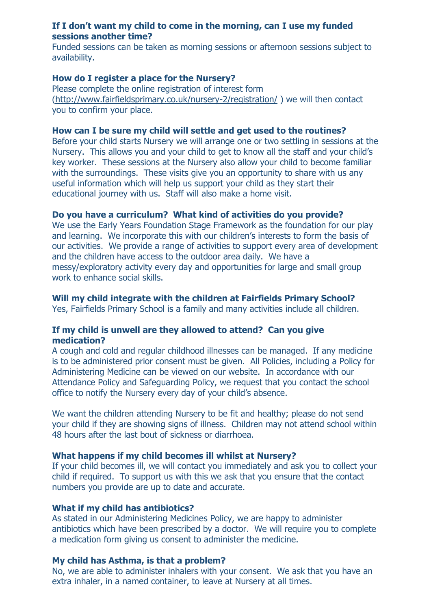# **If I don't want my child to come in the morning, can I use my funded sessions another time?**

Funded sessions can be taken as morning sessions or afternoon sessions subject to availability.

# **How do I register a place for the Nursery?**

Please complete the online registration of interest form [\(http://www.fairfieldsprimary.co.uk/nursery-2/registration/](http://www.fairfieldsprimary.co.uk/nursery-2/registration/) ) we will then contact you to confirm your place.

# **How can I be sure my child will settle and get used to the routines?**

Before your child starts Nursery we will arrange one or two settling in sessions at the Nursery. This allows you and your child to get to know all the staff and your child's key worker. These sessions at the Nursery also allow your child to become familiar with the surroundings. These visits give you an opportunity to share with us any useful information which will help us support your child as they start their educational journey with us. Staff will also make a home visit.

# **Do you have a curriculum? What kind of activities do you provide?**

We use the Early Years Foundation Stage Framework as the foundation for our play and learning. We incorporate this with our children's interests to form the basis of our activities. We provide a range of activities to support every area of development and the children have access to the outdoor area daily. We have a messy/exploratory activity every day and opportunities for large and small group work to enhance social skills.

# **Will my child integrate with the children at Fairfields Primary School?**

Yes, Fairfields Primary School is a family and many activities include all children.

# **If my child is unwell are they allowed to attend? Can you give medication?**

A cough and cold and regular childhood illnesses can be managed. If any medicine is to be administered prior consent must be given. All Policies, including a Policy for Administering Medicine can be viewed on our website. In accordance with our Attendance Policy and Safeguarding Policy, we request that you contact the school office to notify the Nursery every day of your child's absence.

We want the children attending Nursery to be fit and healthy; please do not send your child if they are showing signs of illness. Children may not attend school within 48 hours after the last bout of sickness or diarrhoea.

# **What happens if my child becomes ill whilst at Nursery?**

If your child becomes ill, we will contact you immediately and ask you to collect your child if required. To support us with this we ask that you ensure that the contact numbers you provide are up to date and accurate.

# **What if my child has antibiotics?**

As stated in our Administering Medicines Policy, we are happy to administer antibiotics which have been prescribed by a doctor. We will require you to complete a medication form giving us consent to administer the medicine.

# **My child has Asthma, is that a problem?**

No, we are able to administer inhalers with your consent. We ask that you have an extra inhaler, in a named container, to leave at Nursery at all times.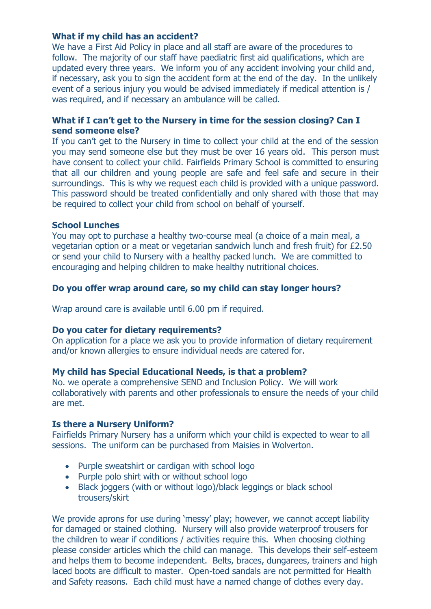# **What if my child has an accident?**

We have a First Aid Policy in place and all staff are aware of the procedures to follow. The majority of our staff have paediatric first aid qualifications, which are updated every three years. We inform you of any accident involving your child and, if necessary, ask you to sign the accident form at the end of the day. In the unlikely event of a serious injury you would be advised immediately if medical attention is / was required, and if necessary an ambulance will be called.

# **What if I can't get to the Nursery in time for the session closing? Can I send someone else?**

If you can't get to the Nursery in time to collect your child at the end of the session you may send someone else but they must be over 16 years old. This person must have consent to collect your child. Fairfields Primary School is committed to ensuring that all our children and young people are safe and feel safe and secure in their surroundings. This is why we request each child is provided with a unique password. This password should be treated confidentially and only shared with those that may be required to collect your child from school on behalf of yourself.

# **School Lunches**

You may opt to purchase a healthy two-course meal (a choice of a main meal, a vegetarian option or a meat or vegetarian sandwich lunch and fresh fruit) for £2.50 or send your child to Nursery with a healthy packed lunch. We are committed to encouraging and helping children to make healthy nutritional choices.

# **Do you offer wrap around care, so my child can stay longer hours?**

Wrap around care is available until 6.00 pm if required.

# **Do you cater for dietary requirements?**

On application for a place we ask you to provide information of dietary requirement and/or known allergies to ensure individual needs are catered for.

# **My child has Special Educational Needs, is that a problem?**

No. we operate a comprehensive SEND and Inclusion Policy. We will work collaboratively with parents and other professionals to ensure the needs of your child are met.

# **Is there a Nursery Uniform?**

Fairfields Primary Nursery has a uniform which your child is expected to wear to all sessions. The uniform can be purchased from Maisies in Wolverton.

- Purple sweatshirt or cardigan with school logo
- Purple polo shirt with or without school logo
- Black joggers (with or without logo)/black leggings or black school trousers/skirt

We provide aprons for use during 'messy' play; however, we cannot accept liability for damaged or stained clothing. Nursery will also provide waterproof trousers for the children to wear if conditions / activities require this. When choosing clothing please consider articles which the child can manage. This develops their self-esteem and helps them to become independent. Belts, braces, dungarees, trainers and high laced boots are difficult to master. Open-toed sandals are not permitted for Health and Safety reasons. Each child must have a named change of clothes every day.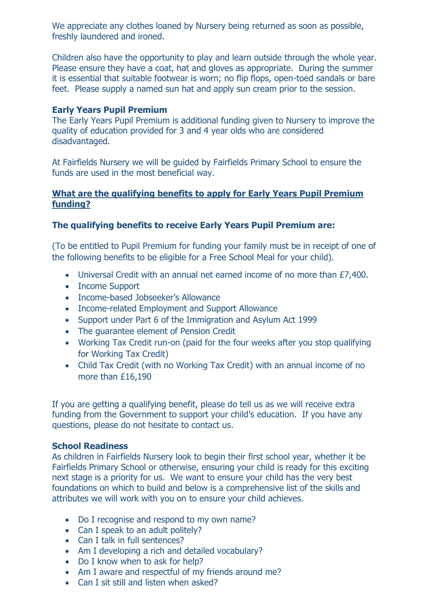We appreciate any clothes loaned by Nursery being returned as soon as possible, freshly laundered and ironed.

Children also have the opportunity to play and learn outside through the whole year. Please ensure they have a coat, hat and gloves as appropriate. During the summer it is essential that suitable footwear is worn; no flip flops, open-toed sandals or bare feet. Please supply a named sun hat and apply sun cream prior to the session.

# **Early Years Pupil Premium**

The Early Years Pupil Premium is additional funding given to Nursery to improve the quality of education provided for 3 and 4 year olds who are considered disadvantaged.

At Fairfields Nursery we will be guided by Fairfields Primary School to ensure the funds are used in the most beneficial way.

# **What are the qualifying benefits to apply for Early Years Pupil Premium funding?**

# **The qualifying benefits to receive Early Years Pupil Premium are:**

(To be entitled to Pupil Premium for funding your family must be in receipt of one of the following benefits to be eligible for a Free School Meal for your child).

- Universal Credit with an annual net earned income of no more than £7,400.
- Income Support
- Income-based Jobseeker's Allowance
- Income-related Employment and Support Allowance
- Support under Part 6 of the Immigration and Asylum Act 1999
- The guarantee element of Pension Credit
- Working Tax Credit run-on (paid for the four weeks after you stop qualifying for Working Tax Credit)
- Child Tax Credit (with no Working Tax Credit) with an annual income of no more than £16,190

If you are getting a qualifying benefit, please do tell us as we will receive extra funding from the Government to support your child's education. If you have any questions, please do not hesitate to contact us.

# **School Readiness**

As children in Fairfields Nursery look to begin their first school year, whether it be Fairfields Primary School or otherwise, ensuring your child is ready for this exciting next stage is a priority for us. We want to ensure your child has the very best foundations on which to build and below is a comprehensive list of the skills and attributes we will work with you on to ensure your child achieves.

- Do I recognise and respond to my own name?
- Can I speak to an adult politely?
- Can I talk in full sentences?
- Am I developing a rich and detailed vocabulary?
- Do I know when to ask for help?
- Am I aware and respectful of my friends around me?
- Can I sit still and listen when asked?